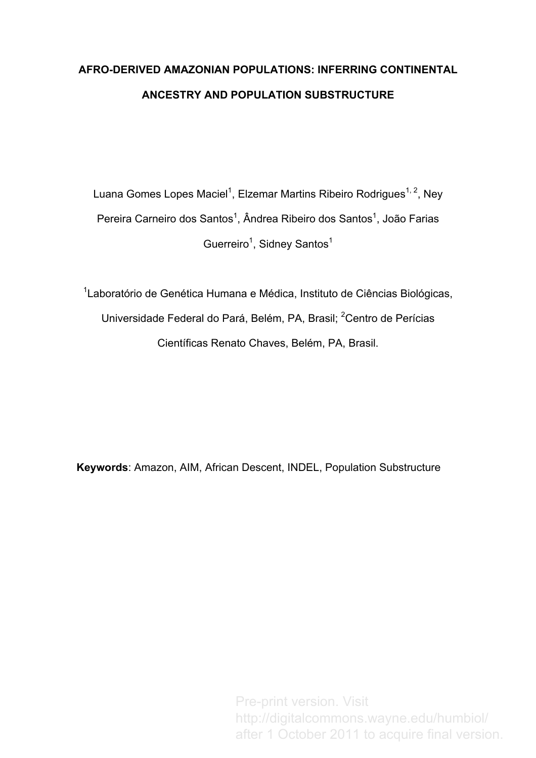# **AFRO-DERIVED AMAZONIAN POPULATIONS: INFERRING CONTINENTAL ANCESTRY AND POPULATION SUBSTRUCTURE**

Luana Gomes Lopes Maciel<sup>1</sup>, Elzemar Martins Ribeiro Rodrigues<sup>1, 2</sup>, Ney Pereira Carneiro dos Santos<sup>1</sup>, Ândrea Ribeiro dos Santos<sup>1</sup>, João Farias Guerreiro<sup>1</sup>, Sidney Santos<sup>1</sup>

<sup>1</sup> Laboratório de Genética Humana e Médica, Instituto de Ciências Biológicas, Universidade Federal do Pará, Belém, PA, Brasil; <sup>2</sup>Centro de Perícias Científicas Renato Chaves, Belém, PA, Brasil.

**Keywords**: Amazon, AIM, African Descent, INDEL, Population Substructure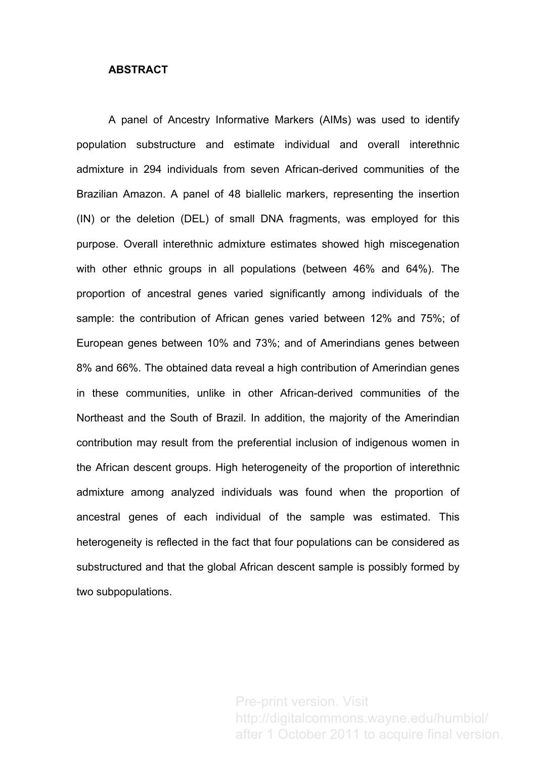## **ABSTRACT**

A panel of Ancestry Informative Markers (AIMs) was used to identify population substructure and estimate individual and overall interethnic admixture in 294 individuals from seven African-derived communities of the Brazilian Amazon. A panel of 48 biallelic markers, representing the insertion (IN) or the deletion (DEL) of small DNA fragments, was employed for this purpose. Overall interethnic admixture estimates showed high miscegenation with other ethnic groups in all populations (between 46% and 64%). The proportion of ancestral genes varied significantly among individuals of the sample: the contribution of African genes varied between 12% and 75%; of European genes between 10% and 73%; and of Amerindians genes between 8% and 66%. The obtained data reveal a high contribution of Amerindian genes in these communities, unlike in other African-derived communities of the Northeast and the South of Brazil. In addition, the majority of the Amerindian contribution may result from the preferential inclusion of indigenous women in the African descent groups. High heterogeneity of the proportion of interethnic admixture among analyzed individuals was found when the proportion of ancestral genes of each individual of the sample was estimated. This heterogeneity is reflected in the fact that four populations can be considered as substructured and that the global African descent sample is possibly formed by two subpopulations.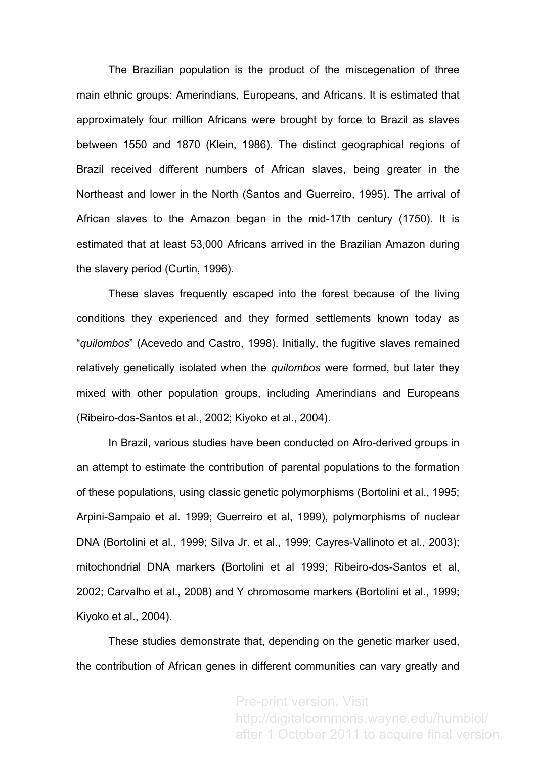The Brazilian population is the product of the miscegenation of three main ethnic groups: Amerindians, Europeans, and Africans. It is estimated that approximately four million Africans were brought by force to Brazil as slaves between 1550 and 1870 (Klein, 1986). The distinct geographical regions of Brazil received different numbers of African slaves, being greater in the Northeast and lower in the North (Santos and Guerreiro, 1995). The arrival of African slaves to the Amazon began in the mid-17th century (1750). It is estimated that at least 53,000 Africans arrived in the Brazilian Amazon during the slavery period (Curtin, 1996).

These slaves frequently escaped into the forest because of the living conditions they experienced and they formed settlements known today as "*quilombos*" (Acevedo and Castro, 1998). Initially, the fugitive slaves remained relatively genetically isolated when the *quilombos* were formed, but later they mixed with other population groups, including Amerindians and Europeans (Ribeiro-dos-Santos et al., 2002; Kiyoko et al., 2004).

In Brazil, various studies have been conducted on Afro-derived groups in an attempt to estimate the contribution of parental populations to the formation of these populations, using classic genetic polymorphisms (Bortolini et al., 1995; Arpini-Sampaio et al. 1999; Guerreiro et al, 1999), polymorphisms of nuclear DNA (Bortolini et al., 1999; Silva Jr. et al., 1999; Cayres-Vallinoto et al., 2003); mitochondrial DNA markers (Bortolini et al 1999; Ribeiro-dos-Santos et al, 2002; Carvalho et al., 2008) and Y chromosome markers (Bortolini et al., 1999; Kiyoko et al., 2004).

These studies demonstrate that, depending on the genetic marker used, the contribution of African genes in different communities can vary greatly and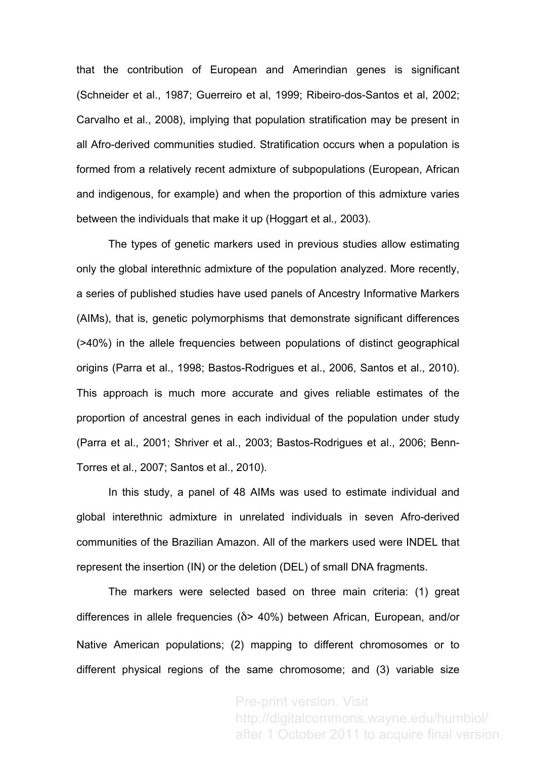that the contribution of European and Amerindian genes is significant (Schneider et al., 1987; Guerreiro et al, 1999; Ribeiro-dos-Santos et al, 2002; Carvalho et al., 2008), implying that population stratification may be present in all Afro-derived communities studied. Stratification occurs when a population is formed from a relatively recent admixture of subpopulations (European, African and indigenous, for example) and when the proportion of this admixture varies between the individuals that make it up (Hoggart et al*.,* 2003).

The types of genetic markers used in previous studies allow estimating only the global interethnic admixture of the population analyzed. More recently, a series of published studies have used panels of Ancestry Informative Markers (AIMs), that is, genetic polymorphisms that demonstrate significant differences (>40%) in the allele frequencies between populations of distinct geographical origins (Parra et al., 1998; Bastos-Rodrigues et al., 2006, Santos et al., 2010). This approach is much more accurate and gives reliable estimates of the proportion of ancestral genes in each individual of the population under study (Parra et al., 2001; Shriver et al., 2003; Bastos-Rodrigues et al., 2006; Benn-Torres et al., 2007; Santos et al., 2010).

In this study, a panel of 48 AIMs was used to estimate individual and global interethnic admixture in unrelated individuals in seven Afro-derived communities of the Brazilian Amazon. All of the markers used were INDEL that represent the insertion (IN) or the deletion (DEL) of small DNA fragments.

The markers were selected based on three main criteria: (1) great differences in allele frequencies (δ> 40%) between African, European, and/or Native American populations; (2) mapping to different chromosomes or to different physical regions of the same chromosome; and (3) variable size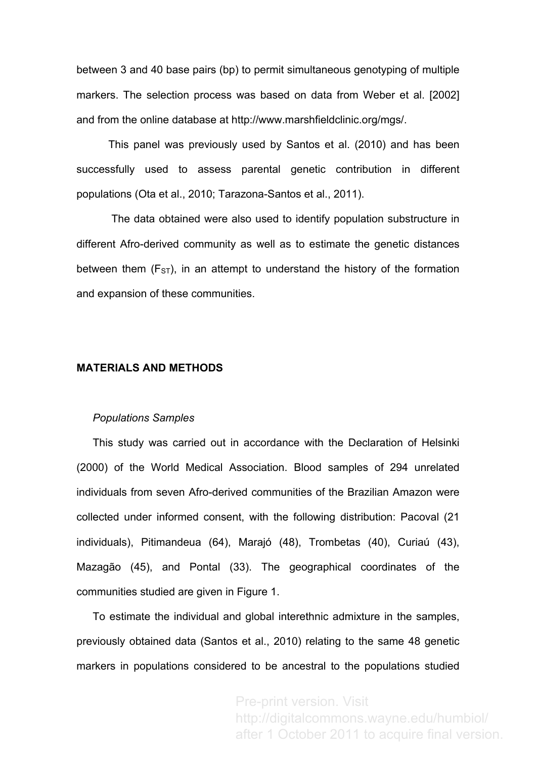between 3 and 40 base pairs (bp) to permit simultaneous genotyping of multiple markers. The selection process was based on data from Weber et al. [2002] and from the online database at http://www.marshfieldclinic.org/mgs/.

This panel was previously used by Santos et al. (2010) and has been successfully used to assess parental genetic contribution in different populations (Ota et al., 2010; Tarazona-Santos et al., 2011).

The data obtained were also used to identify population substructure in different Afro-derived community as well as to estimate the genetic distances between them  $(F_{ST})$ , in an attempt to understand the history of the formation and expansion of these communities.

### **MATERIALS AND METHODS**

#### *Populations Samples*

This study was carried out in accordance with the Declaration of Helsinki (2000) of the World Medical Association. Blood samples of 294 unrelated individuals from seven Afro-derived communities of the Brazilian Amazon were collected under informed consent, with the following distribution: Pacoval (21 individuals), Pitimandeua (64), Marajó (48), Trombetas (40), Curiaú (43), Mazagão (45), and Pontal (33). The geographical coordinates of the communities studied are given in Figure 1.

To estimate the individual and global interethnic admixture in the samples, previously obtained data (Santos et al., 2010) relating to the same 48 genetic markers in populations considered to be ancestral to the populations studied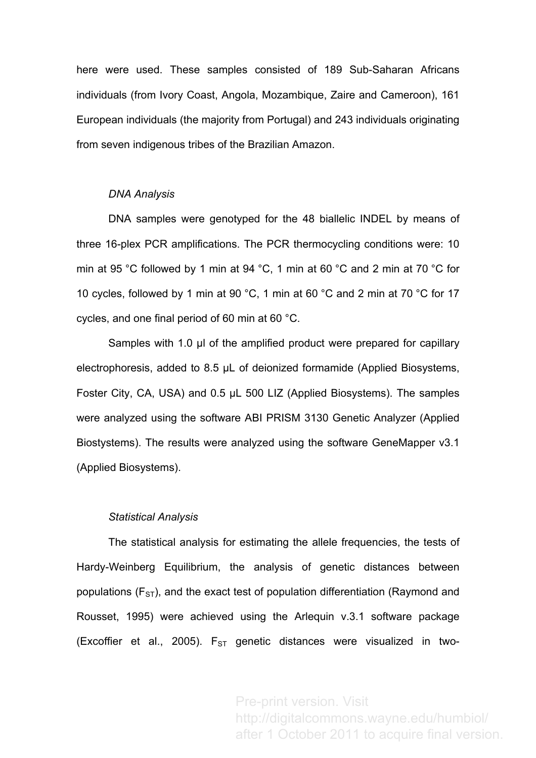here were used. These samples consisted of 189 Sub-Saharan Africans individuals (from Ivory Coast, Angola, Mozambique, Zaire and Cameroon), 161 European individuals (the majority from Portugal) and 243 individuals originating from seven indigenous tribes of the Brazilian Amazon.

#### *DNA Analysis*

DNA samples were genotyped for the 48 biallelic INDEL by means of three 16-plex PCR amplifications. The PCR thermocycling conditions were: 10 min at 95 °C followed by 1 min at 94 °C, 1 min at 60 °C and 2 min at 70 °C for 10 cycles, followed by 1 min at 90 °C, 1 min at 60 °C and 2 min at 70 °C for 17 cycles, and one final period of 60 min at 60 °C.

Samples with 1.0 µ of the amplified product were prepared for capillary electrophoresis, added to 8.5 µL of deionized formamide (Applied Biosystems, Foster City, CA, USA) and 0.5 µL 500 LIZ (Applied Biosystems). The samples were analyzed using the software ABI PRISM 3130 Genetic Analyzer (Applied Biostystems). The results were analyzed using the software GeneMapper v3.1 (Applied Biosystems).

#### *Statistical Analysis*

The statistical analysis for estimating the allele frequencies, the tests of Hardy-Weinberg Equilibrium, the analysis of genetic distances between populations ( $F_{ST}$ ), and the exact test of population differentiation (Raymond and Rousset, 1995) were achieved using the Arlequin v.3.1 software package (Excoffier et al., 2005).  $F_{ST}$  genetic distances were visualized in two-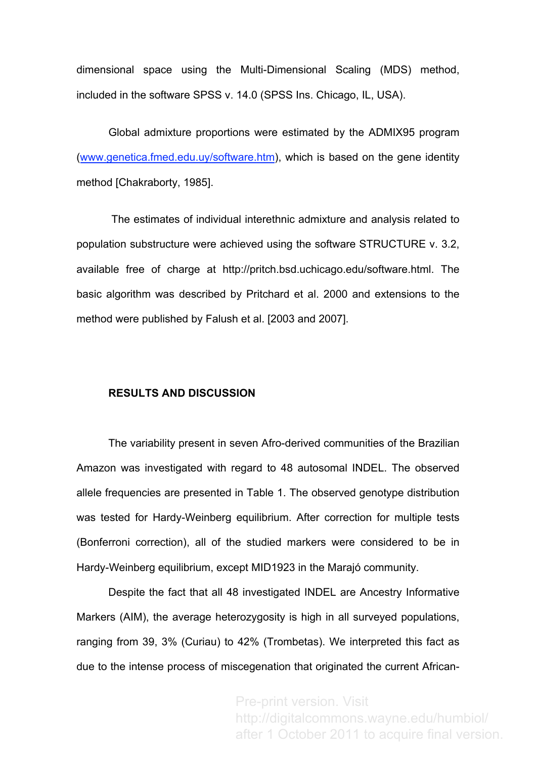dimensional space using the Multi-Dimensional Scaling (MDS) method, included in the software SPSS v. 14.0 (SPSS Ins. Chicago, IL, USA).

Global admixture proportions were estimated by the ADMIX95 program (www.genetica.fmed.edu.uy/software.htm), which is based on the gene identity method [Chakraborty, 1985].

The estimates of individual interethnic admixture and analysis related to population substructure were achieved using the software STRUCTURE v. 3.2, available free of charge at http://pritch.bsd.uchicago.edu/software.html. The basic algorithm was described by Pritchard et al. 2000 and extensions to the method were published by Falush et al. [2003 and 2007].

### **RESULTS AND DISCUSSION**

The variability present in seven Afro-derived communities of the Brazilian Amazon was investigated with regard to 48 autosomal INDEL. The observed allele frequencies are presented in Table 1. The observed genotype distribution was tested for Hardy-Weinberg equilibrium. After correction for multiple tests (Bonferroni correction), all of the studied markers were considered to be in Hardy-Weinberg equilibrium, except MID1923 in the Marajó community.

Despite the fact that all 48 investigated INDEL are Ancestry Informative Markers (AIM), the average heterozygosity is high in all surveyed populations, ranging from 39, 3% (Curiau) to 42% (Trombetas). We interpreted this fact as due to the intense process of miscegenation that originated the current African-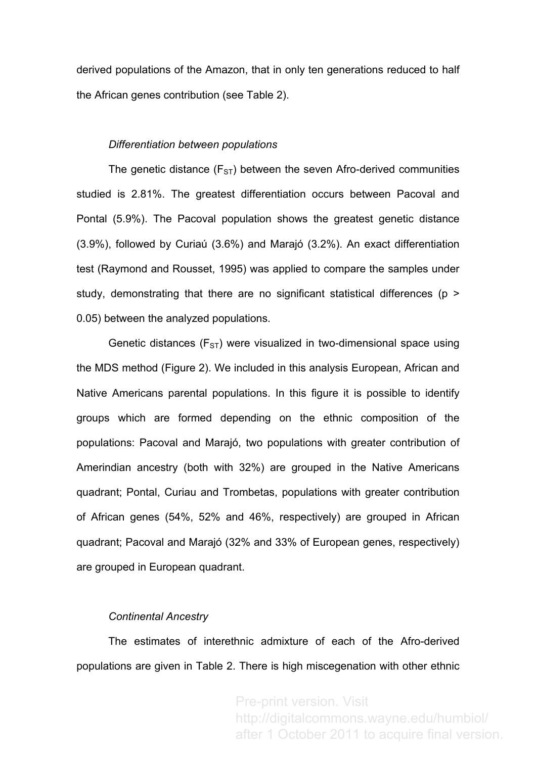derived populations of the Amazon, that in only ten generations reduced to half the African genes contribution (see Table 2).

## *Differentiation between populations*

The genetic distance  $(F_{ST})$  between the seven Afro-derived communities studied is 2.81%. The greatest differentiation occurs between Pacoval and Pontal (5.9%). The Pacoval population shows the greatest genetic distance (3.9%), followed by Curiaú (3.6%) and Marajó (3.2%). An exact differentiation test (Raymond and Rousset, 1995) was applied to compare the samples under study, demonstrating that there are no significant statistical differences (p > 0.05) between the analyzed populations.

Genetic distances ( $F_{ST}$ ) were visualized in two-dimensional space using the MDS method (Figure 2). We included in this analysis European, African and Native Americans parental populations. In this figure it is possible to identify groups which are formed depending on the ethnic composition of the populations: Pacoval and Marajó, two populations with greater contribution of Amerindian ancestry (both with 32%) are grouped in the Native Americans quadrant; Pontal, Curiau and Trombetas, populations with greater contribution of African genes (54%, 52% and 46%, respectively) are grouped in African quadrant; Pacoval and Marajó (32% and 33% of European genes, respectively) are grouped in European quadrant.

## *Continental Ancestry*

The estimates of interethnic admixture of each of the Afro-derived populations are given in Table 2. There is high miscegenation with other ethnic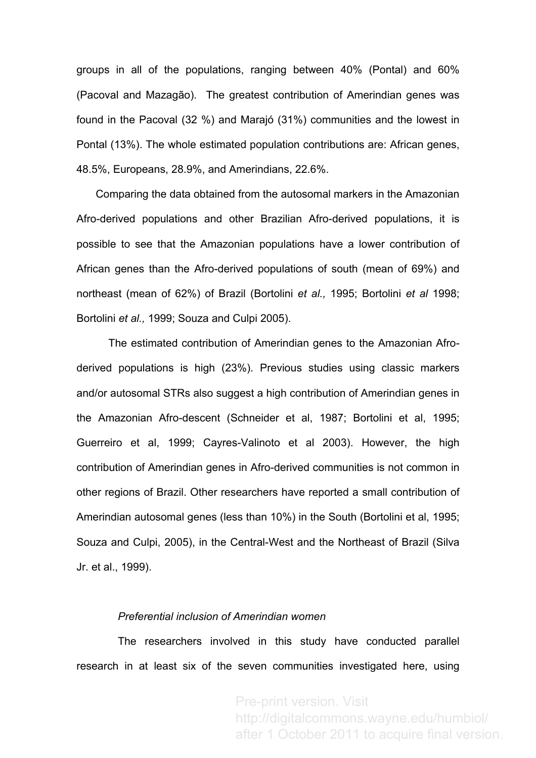groups in all of the populations, ranging between 40% (Pontal) and 60% (Pacoval and Mazagão). The greatest contribution of Amerindian genes was found in the Pacoval (32 %) and Marajó (31%) communities and the lowest in Pontal (13%). The whole estimated population contributions are: African genes, 48.5%, Europeans, 28.9%, and Amerindians, 22.6%.

Comparing the data obtained from the autosomal markers in the Amazonian Afro-derived populations and other Brazilian Afro-derived populations, it is possible to see that the Amazonian populations have a lower contribution of African genes than the Afro-derived populations of south (mean of 69%) and northeast (mean of 62%) of Brazil (Bortolini *et al.,* 1995; Bortolini *et al* 1998; Bortolini *et al.,* 1999; Souza and Culpi 2005).

The estimated contribution of Amerindian genes to the Amazonian Afroderived populations is high (23%). Previous studies using classic markers and/or autosomal STRs also suggest a high contribution of Amerindian genes in the Amazonian Afro-descent (Schneider et al, 1987; Bortolini et al, 1995; Guerreiro et al, 1999; Cayres-Valinoto et al 2003). However, the high contribution of Amerindian genes in Afro-derived communities is not common in other regions of Brazil. Other researchers have reported a small contribution of Amerindian autosomal genes (less than 10%) in the South (Bortolini et al, 1995; Souza and Culpi, 2005), in the Central-West and the Northeast of Brazil (Silva Jr. et al., 1999).

## *Preferential inclusion of Amerindian women*

The researchers involved in this study have conducted parallel research in at least six of the seven communities investigated here, using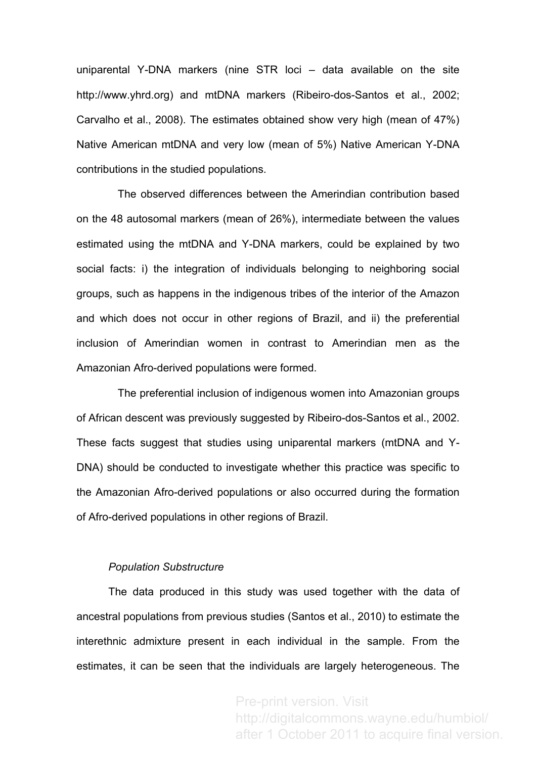uniparental Y-DNA markers (nine STR loci – data available on the site http://www.yhrd.org) and mtDNA markers (Ribeiro-dos-Santos et al., 2002; Carvalho et al., 2008). The estimates obtained show very high (mean of 47%) Native American mtDNA and very low (mean of 5%) Native American Y-DNA contributions in the studied populations.

The observed differences between the Amerindian contribution based on the 48 autosomal markers (mean of 26%), intermediate between the values estimated using the mtDNA and Y-DNA markers, could be explained by two social facts: i) the integration of individuals belonging to neighboring social groups, such as happens in the indigenous tribes of the interior of the Amazon and which does not occur in other regions of Brazil, and ii) the preferential inclusion of Amerindian women in contrast to Amerindian men as the Amazonian Afro-derived populations were formed.

The preferential inclusion of indigenous women into Amazonian groups of African descent was previously suggested by Ribeiro-dos-Santos et al., 2002. These facts suggest that studies using uniparental markers (mtDNA and Y-DNA) should be conducted to investigate whether this practice was specific to the Amazonian Afro-derived populations or also occurred during the formation of Afro-derived populations in other regions of Brazil.

## *Population Substructure*

The data produced in this study was used together with the data of ancestral populations from previous studies (Santos et al., 2010) to estimate the interethnic admixture present in each individual in the sample. From the estimates, it can be seen that the individuals are largely heterogeneous. The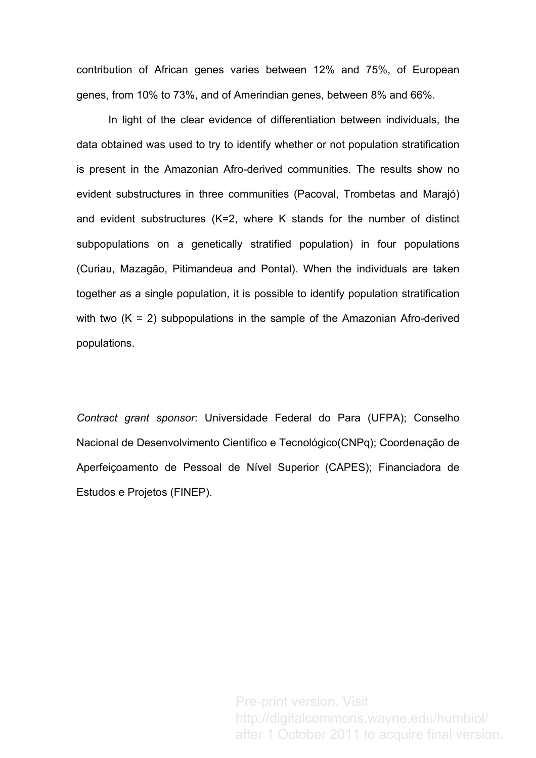contribution of African genes varies between 12% and 75%, of European genes, from 10% to 73%, and of Amerindian genes, between 8% and 66%.

In light of the clear evidence of differentiation between individuals, the data obtained was used to try to identify whether or not population stratification is present in the Amazonian Afro-derived communities. The results show no evident substructures in three communities (Pacoval, Trombetas and Marajó) and evident substructures (K=2, where K stands for the number of distinct subpopulations on a genetically stratified population) in four populations (Curiau, Mazagão, Pitimandeua and Pontal). When the individuals are taken together as a single population, it is possible to identify population stratification with two  $(K = 2)$  subpopulations in the sample of the Amazonian Afro-derived populations.

*Contract grant sponsor*: Universidade Federal do Para (UFPA); Conselho Nacional de Desenvolvimento Cientifico e Tecnológico(CNPq); Coordenação de Aperfeiçoamento de Pessoal de Nível Superior (CAPES); Financiadora de Estudos e Projetos (FINEP).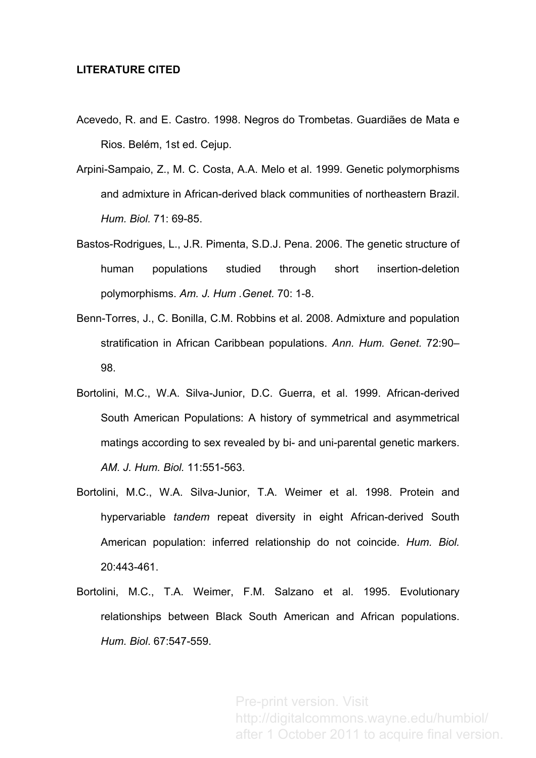# **LITERATURE CITED**

- Acevedo, R. and E. Castro. 1998. Negros do Trombetas. Guardiães de Mata e Rios. Belém, 1st ed. Cejup.
- Arpini-Sampaio, Z., M. C. Costa, A.A. Melo et al. 1999. Genetic polymorphisms and admixture in African-derived black communities of northeastern Brazil. *Hum. Biol.* 71: 69-85.
- Bastos-Rodrigues, L., J.R. Pimenta, S.D.J. Pena. 2006. The genetic structure of human populations studied through short insertion-deletion polymorphisms. *Am. J. Hum .Genet.* 70: 1-8.
- Benn-Torres, J., C. Bonilla, C.M. Robbins et al. 2008. Admixture and population stratification in African Caribbean populations. *Ann. Hum. Genet.* 72:90– 98.
- Bortolini, M.C., W.A. Silva-Junior, D.C. Guerra, et al. 1999. African-derived South American Populations: A history of symmetrical and asymmetrical matings according to sex revealed by bi- and uni-parental genetic markers. *AM. J. Hum. Biol.* 11:551-563.
- Bortolini, M.C., W.A. Silva-Junior, T.A. Weimer et al. 1998. Protein and hypervariable *tandem* repeat diversity in eight African-derived South American population: inferred relationship do not coincide. *Hum. Biol.* 20:443-461.
- Bortolini, M.C., T.A. Weimer, F.M. Salzano et al. 1995. Evolutionary relationships between Black South American and African populations. *Hum. Biol*. 67:547-559.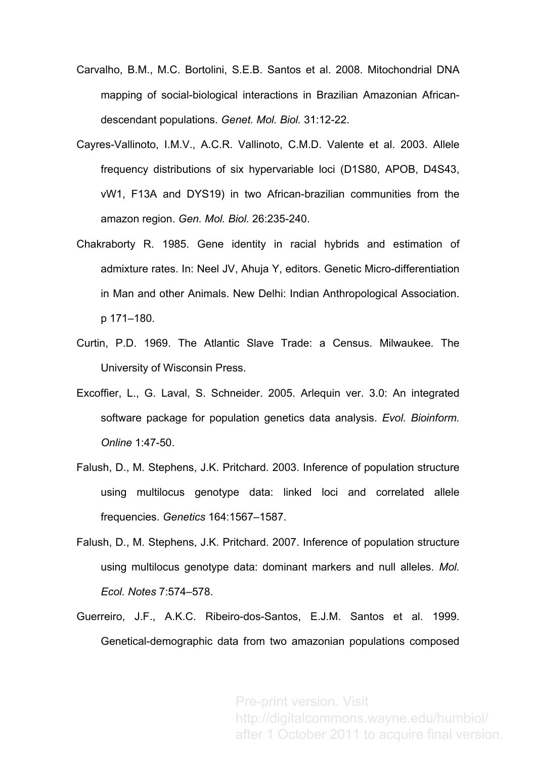- Carvalho, B.M., M.C. Bortolini, S.E.B. Santos et al. 2008. Mitochondrial DNA mapping of social-biological interactions in Brazilian Amazonian Africandescendant populations. *Genet. Mol. Biol.* 31:12-22.
- Cayres-Vallinoto, I.M.V., A.C.R. Vallinoto, C.M.D. Valente et al. 2003. Allele frequency distributions of six hypervariable loci (D1S80, APOB, D4S43, vW1, F13A and DYS19) in two African-brazilian communities from the amazon region. *Gen. Mol. Biol.* 26:235-240.
- Chakraborty R. 1985. Gene identity in racial hybrids and estimation of admixture rates. In: Neel JV, Ahuja Y, editors. Genetic Micro-differentiation in Man and other Animals. New Delhi: Indian Anthropological Association. p 171–180.
- Curtin, P.D. 1969. The Atlantic Slave Trade: a Census. Milwaukee. The University of Wisconsin Press.
- Excoffier, L., G. Laval, S. Schneider. 2005. Arlequin ver. 3.0: An integrated software package for population genetics data analysis. *Evol. Bioinform. Online* 1:47-50.
- Falush, D., M. Stephens, J.K. Pritchard. 2003. Inference of population structure using multilocus genotype data: linked loci and correlated allele frequencies. *Genetics* 164:1567–1587.
- Falush, D., M. Stephens, J.K. Pritchard. 2007. Inference of population structure using multilocus genotype data: dominant markers and null alleles. *Mol. Ecol. Notes* 7:574–578.
- Guerreiro, J.F., A.K.C. Ribeiro-dos-Santos, E.J.M. Santos et al. 1999. Genetical-demographic data from two amazonian populations composed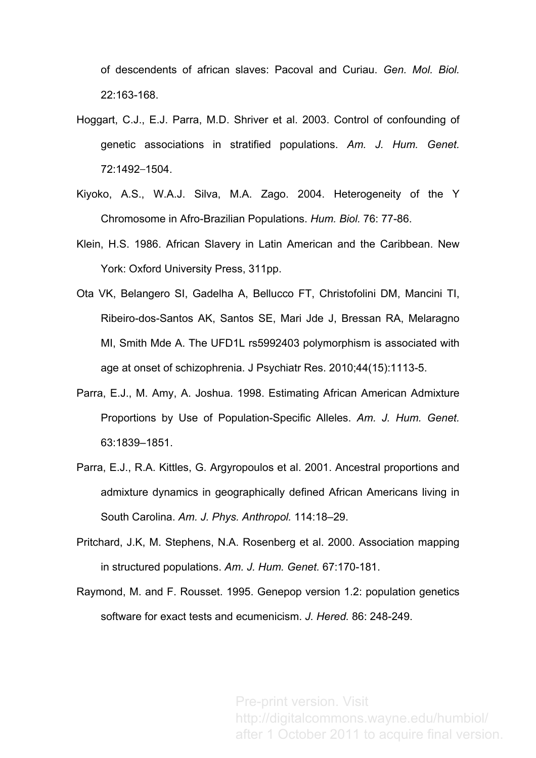of descendents of african slaves: Pacoval and Curiau. *Gen. Mol. Biol.* 22:163-168.

- Hoggart, C.J., E.J. Parra, M.D. Shriver et al. 2003. Control of confounding of genetic associations in stratified populations. *Am. J. Hum. Genet.* 72:1492-1504.
- Kiyoko, A.S., W.A.J. Silva, M.A. Zago. 2004. Heterogeneity of the Y Chromosome in Afro-Brazilian Populations. *Hum. Biol.* 76: 77-86.
- Klein, H.S. 1986. African Slavery in Latin American and the Caribbean. New York: Oxford University Press, 311pp.
- Ota VK, Belangero SI, Gadelha A, Bellucco FT, Christofolini DM, Mancini TI, Ribeiro-dos-Santos AK, Santos SE, Mari Jde J, Bressan RA, Melaragno MI, Smith Mde A. The UFD1L rs5992403 polymorphism is associated with age at onset of schizophrenia. J Psychiatr Res. 2010;44(15):1113-5.
- Parra, E.J., M. Amy, A. Joshua. 1998. Estimating African American Admixture Proportions by Use of Population-Specific Alleles. *Am. J. Hum. Genet.* 63:1839–1851.
- Parra, E.J., R.A. Kittles, G. Argyropoulos et al. 2001. Ancestral proportions and admixture dynamics in geographically defined African Americans living in South Carolina. *Am. J. Phys. Anthropol.* 114:18–29.
- Pritchard, J.K, M. Stephens, N.A. Rosenberg et al. 2000. Association mapping in structured populations. *Am. J. Hum. Genet.* 67:170-181.
- Raymond, M. and F. Rousset. 1995. Genepop version 1.2: population genetics software for exact tests and ecumenicism. *J. Hered.* 86: 248-249.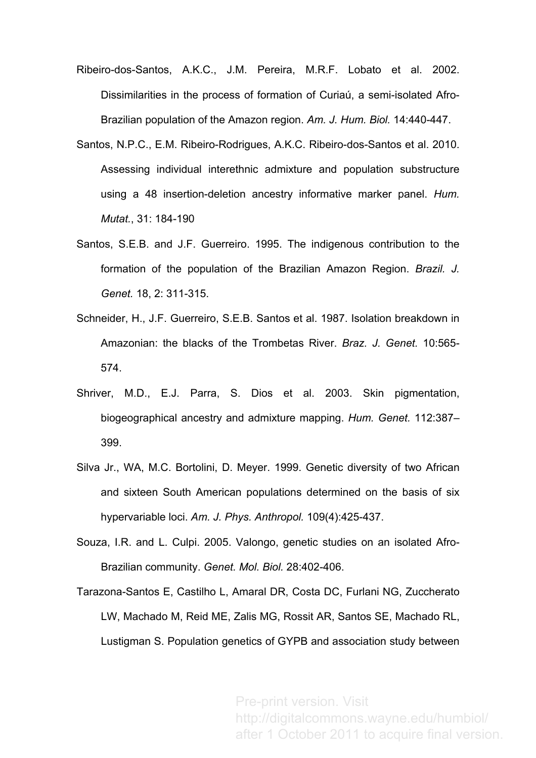- Ribeiro-dos-Santos, A.K.C., J.M. Pereira, M.R.F. Lobato et al. 2002. Dissimilarities in the process of formation of Curiaú, a semi-isolated Afro-Brazilian population of the Amazon region. *Am. J. Hum. Biol.* 14:440-447.
- Santos, N.P.C., E.M. Ribeiro-Rodrigues, A.K.C. Ribeiro-dos-Santos et al. 2010. Assessing individual interethnic admixture and population substructure using a 48 insertion-deletion ancestry informative marker panel. *Hum. Mutat.*, 31: 184-190
- Santos, S.E.B. and J.F. Guerreiro. 1995. The indigenous contribution to the formation of the population of the Brazilian Amazon Region. *Brazil. J. Genet.* 18, 2: 311-315.
- Schneider, H., J.F. Guerreiro, S.E.B. Santos et al. 1987. Isolation breakdown in Amazonian: the blacks of the Trombetas River. *Braz. J. Genet.* 10:565- 574.
- Shriver, M.D., E.J. Parra, S. Dios et al. 2003. Skin pigmentation, biogeographical ancestry and admixture mapping. *Hum. Genet.* 112:387– 399.
- Silva Jr., WA, M.C. Bortolini, D. Meyer. 1999. Genetic diversity of two African and sixteen South American populations determined on the basis of six hypervariable loci. *Am. J. Phys. Anthropol.* 109(4):425-437.
- Souza, I.R. and L. Culpi. 2005. Valongo, genetic studies on an isolated Afro-Brazilian community. *Genet. Mol. Biol.* 28:402-406.
- Tarazona-Santos E, Castilho L, Amaral DR, Costa DC, Furlani NG, Zuccherato LW, Machado M, Reid ME, Zalis MG, Rossit AR, Santos SE, Machado RL, Lustigman S. Population genetics of GYPB and association study between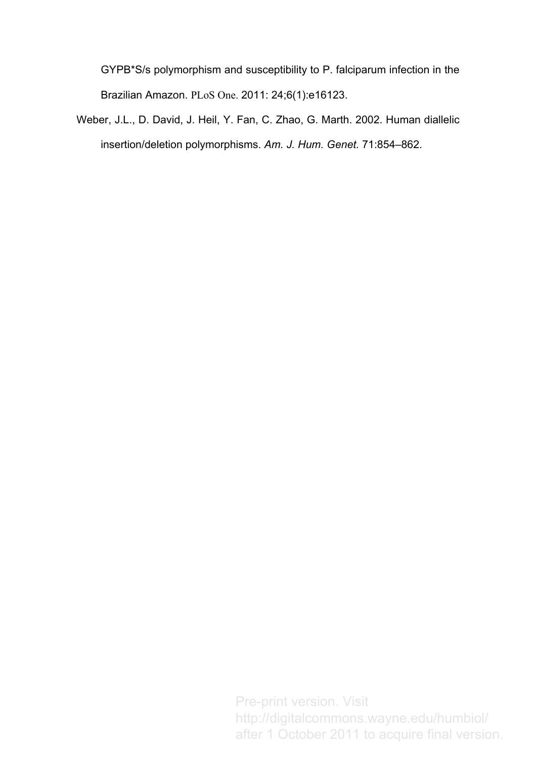GYPB\*S/s polymorphism and susceptibility to P. falciparum infection in the Brazilian Amazon. PLoS One. 2011: 24;6(1):e16123.

Weber, J.L., D. David, J. Heil, Y. Fan, C. Zhao, G. Marth. 2002. Human diallelic insertion/deletion polymorphisms. *Am. J. Hum. Genet.* 71:854–862.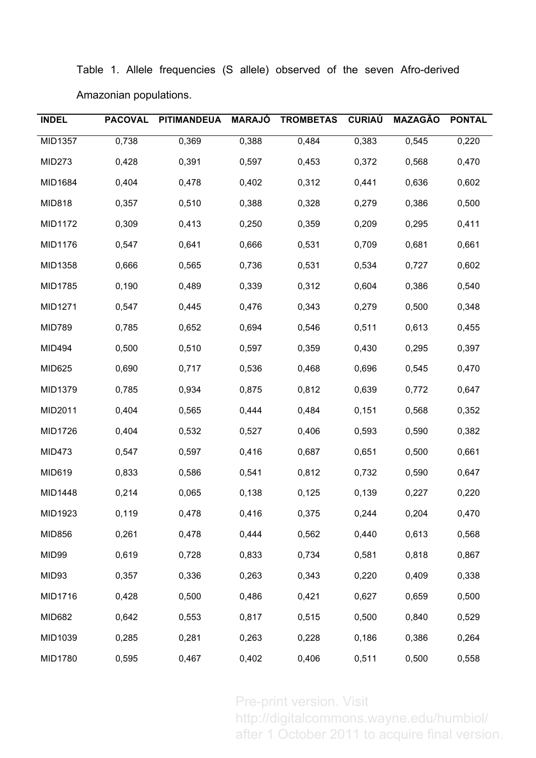|  |                        |  |  |  | Table 1. Allele frequencies (S allele) observed of the seven Afro-derived |
|--|------------------------|--|--|--|---------------------------------------------------------------------------|
|  | Amazonian populations. |  |  |  |                                                                           |

| <b>INDEL</b>  | <b>PACOVAL</b> | <b>PITIMANDEUA</b> | <b>MARAJÓ</b> | <b>TROMBETAS</b> | <b>CURIAÚ</b> | <b>MAZAGÃO</b> | <b>PONTAL</b> |
|---------------|----------------|--------------------|---------------|------------------|---------------|----------------|---------------|
| MID1357       | 0,738          | 0,369              | 0,388         | 0,484            | 0,383         | 0,545          | 0,220         |
| <b>MID273</b> | 0,428          | 0,391              | 0,597         | 0,453            | 0,372         | 0,568          | 0,470         |
| MID1684       | 0,404          | 0,478              | 0,402         | 0,312            | 0,441         | 0,636          | 0,602         |
| <b>MID818</b> | 0,357          | 0,510              | 0,388         | 0,328            | 0,279         | 0,386          | 0,500         |
| MID1172       | 0,309          | 0,413              | 0,250         | 0,359            | 0,209         | 0,295          | 0,411         |
| MID1176       | 0,547          | 0,641              | 0,666         | 0,531            | 0,709         | 0,681          | 0,661         |
| MID1358       | 0,666          | 0,565              | 0,736         | 0,531            | 0,534         | 0,727          | 0,602         |
| MID1785       | 0,190          | 0,489              | 0,339         | 0,312            | 0,604         | 0,386          | 0,540         |
| MID1271       | 0,547          | 0,445              | 0,476         | 0,343            | 0,279         | 0,500          | 0,348         |
| <b>MID789</b> | 0,785          | 0,652              | 0,694         | 0,546            | 0,511         | 0,613          | 0,455         |
| MID494        | 0,500          | 0,510              | 0,597         | 0,359            | 0,430         | 0,295          | 0,397         |
| MID625        | 0,690          | 0,717              | 0,536         | 0,468            | 0,696         | 0,545          | 0,470         |
| MID1379       | 0,785          | 0,934              | 0,875         | 0,812            | 0,639         | 0,772          | 0,647         |
| MID2011       | 0,404          | 0,565              | 0,444         | 0,484            | 0,151         | 0,568          | 0,352         |
| MID1726       | 0,404          | 0,532              | 0,527         | 0,406            | 0,593         | 0,590          | 0,382         |
| <b>MID473</b> | 0,547          | 0,597              | 0,416         | 0,687            | 0,651         | 0,500          | 0,661         |
| MID619        | 0,833          | 0,586              | 0,541         | 0,812            | 0,732         | 0,590          | 0,647         |
| MID1448       | 0,214          | 0,065              | 0,138         | 0,125            | 0,139         | 0,227          | 0,220         |
| MID1923       | 0,119          | 0,478              | 0,416         | 0,375            | 0,244         | 0.204          | 0,470         |
| <b>MID856</b> | 0,261          | 0,478              | 0,444         | 0,562            | 0,440         | 0,613          | 0,568         |
| MID99         | 0,619          | 0,728              | 0,833         | 0,734            | 0,581         | 0,818          | 0,867         |
| MID93         | 0,357          | 0,336              | 0,263         | 0,343            | 0,220         | 0,409          | 0,338         |
| MID1716       | 0,428          | 0,500              | 0,486         | 0,421            | 0,627         | 0,659          | 0,500         |
| <b>MID682</b> | 0,642          | 0,553              | 0,817         | 0,515            | 0,500         | 0,840          | 0,529         |
| MID1039       | 0,285          | 0,281              | 0,263         | 0,228            | 0,186         | 0,386          | 0,264         |
| MID1780       | 0,595          | 0,467              | 0,402         | 0,406            | 0,511         | 0,500          | 0,558         |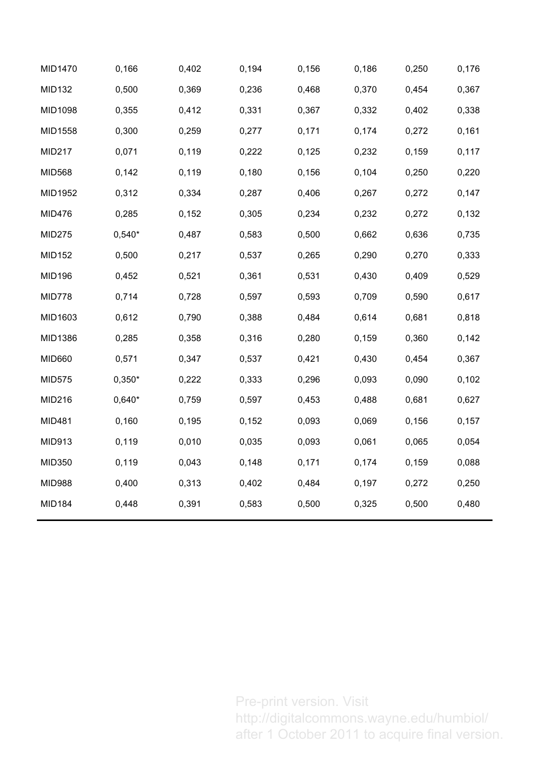| MID1470       | 0,166    | 0,402 | 0,194 | 0,156 | 0,186 | 0,250 | 0,176 |
|---------------|----------|-------|-------|-------|-------|-------|-------|
| <b>MID132</b> | 0,500    | 0,369 | 0,236 | 0,468 | 0,370 | 0,454 | 0,367 |
| MID1098       | 0,355    | 0,412 | 0,331 | 0,367 | 0,332 | 0,402 | 0,338 |
| MID1558       | 0,300    | 0,259 | 0,277 | 0,171 | 0,174 | 0,272 | 0,161 |
| <b>MID217</b> | 0,071    | 0,119 | 0,222 | 0,125 | 0,232 | 0,159 | 0,117 |
| <b>MID568</b> | 0,142    | 0,119 | 0,180 | 0,156 | 0,104 | 0,250 | 0,220 |
| MID1952       | 0,312    | 0,334 | 0,287 | 0,406 | 0,267 | 0,272 | 0,147 |
| <b>MID476</b> | 0,285    | 0,152 | 0,305 | 0,234 | 0,232 | 0,272 | 0,132 |
| <b>MID275</b> | $0,540*$ | 0,487 | 0,583 | 0,500 | 0,662 | 0,636 | 0,735 |
| <b>MID152</b> | 0,500    | 0,217 | 0,537 | 0,265 | 0,290 | 0,270 | 0,333 |
| <b>MID196</b> | 0,452    | 0,521 | 0,361 | 0,531 | 0,430 | 0,409 | 0,529 |
| <b>MID778</b> | 0,714    | 0,728 | 0,597 | 0,593 | 0,709 | 0,590 | 0,617 |
| MID1603       | 0,612    | 0,790 | 0,388 | 0,484 | 0,614 | 0,681 | 0,818 |
| MID1386       | 0,285    | 0,358 | 0,316 | 0,280 | 0,159 | 0,360 | 0,142 |
| <b>MID660</b> | 0,571    | 0,347 | 0,537 | 0,421 | 0,430 | 0,454 | 0,367 |
| <b>MID575</b> | $0,350*$ | 0,222 | 0,333 | 0,296 | 0,093 | 0,090 | 0,102 |
| <b>MID216</b> | $0,640*$ | 0,759 | 0,597 | 0,453 | 0,488 | 0,681 | 0,627 |
| <b>MID481</b> | 0,160    | 0,195 | 0,152 | 0,093 | 0,069 | 0,156 | 0,157 |
| MID913        | 0,119    | 0,010 | 0,035 | 0,093 | 0,061 | 0,065 | 0,054 |
| MID350        | 0,119    | 0,043 | 0,148 | 0,171 | 0,174 | 0,159 | 0,088 |
| <b>MID988</b> | 0,400    | 0,313 | 0,402 | 0,484 | 0,197 | 0,272 | 0,250 |
| <b>MID184</b> | 0,448    | 0,391 | 0,583 | 0,500 | 0,325 | 0,500 | 0,480 |
|               |          |       |       |       |       |       |       |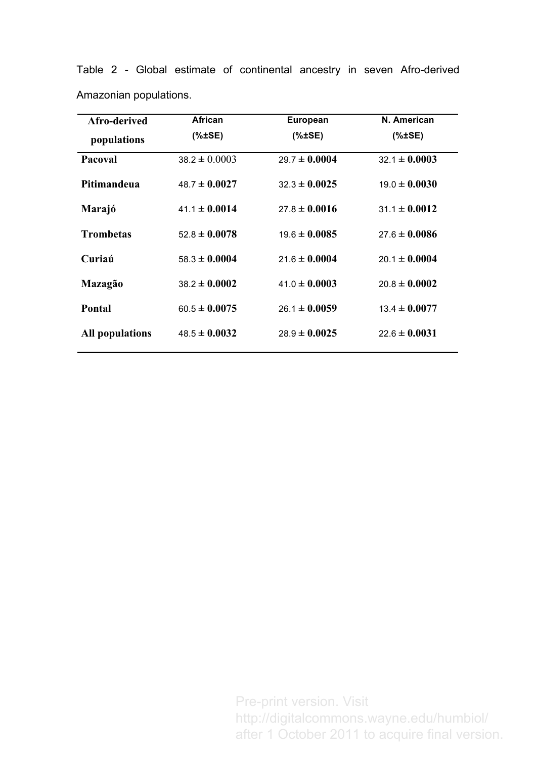| Afro-derived           | African           | <b>European</b>   | N. American       |
|------------------------|-------------------|-------------------|-------------------|
| populations            | $(*±SE)$          | $(*±SE)$          | % <b>ESE</b>      |
| Pacoval                | $38.2 \pm 0.0003$ | $29.7 \pm 0.0004$ | $32.1 \pm 0.0003$ |
| Pitimandeua            | $48.7 \pm 0.0027$ | $32.3 \pm 0.0025$ | $19.0 \pm 0.0030$ |
| Marajó                 | $41.1 \pm 0.0014$ | $27.8 \pm 0.0016$ | $31.1 \pm 0.0012$ |
| <b>Trombetas</b>       | $52.8 \pm 0.0078$ | $19.6 \pm 0.0085$ | $27.6 \pm 0.0086$ |
| Curiaú                 | $58.3 \pm 0.0004$ | $21.6 \pm 0.0004$ | $20.1 \pm 0.0004$ |
| Mazagão                | $38.2 \pm 0.0002$ | $41.0 \pm 0.0003$ | $20.8 \pm 0.0002$ |
| Pontal                 | $60.5 \pm 0.0075$ | $26.1 \pm 0.0059$ | $13.4 \pm 0.0077$ |
| <b>All populations</b> | $48.5 \pm 0.0032$ | $28.9 \pm 0.0025$ | $22.6 \pm 0.0031$ |

Table 2 - Global estimate of continental ancestry in seven Afro-derived Amazonian populations.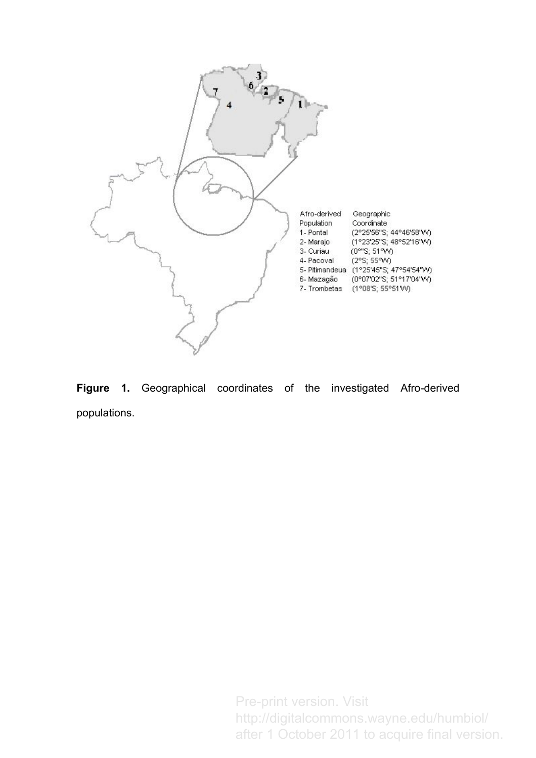

**Figure 1.** Geographical coordinates of the investigated Afro-derived populations.